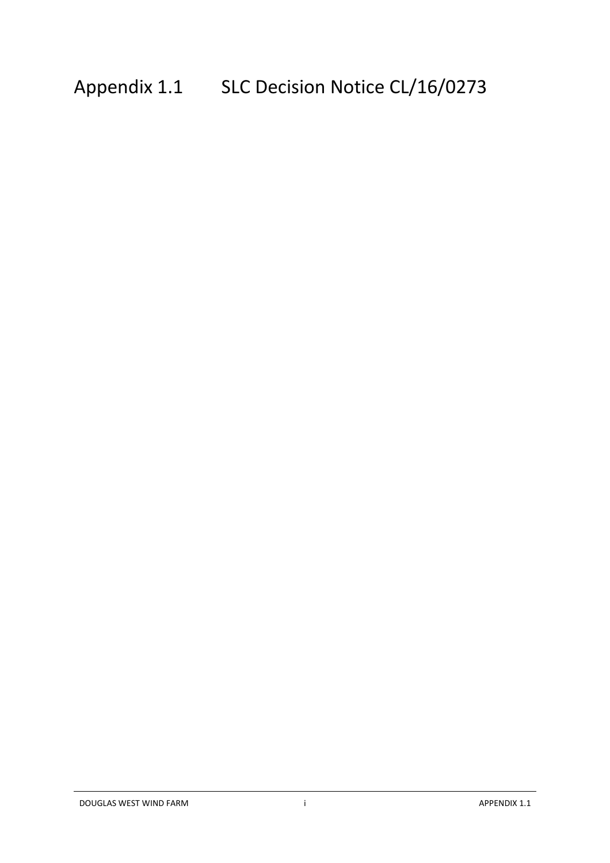Appendix 1.1 SLC Decision Notice CL/16/0273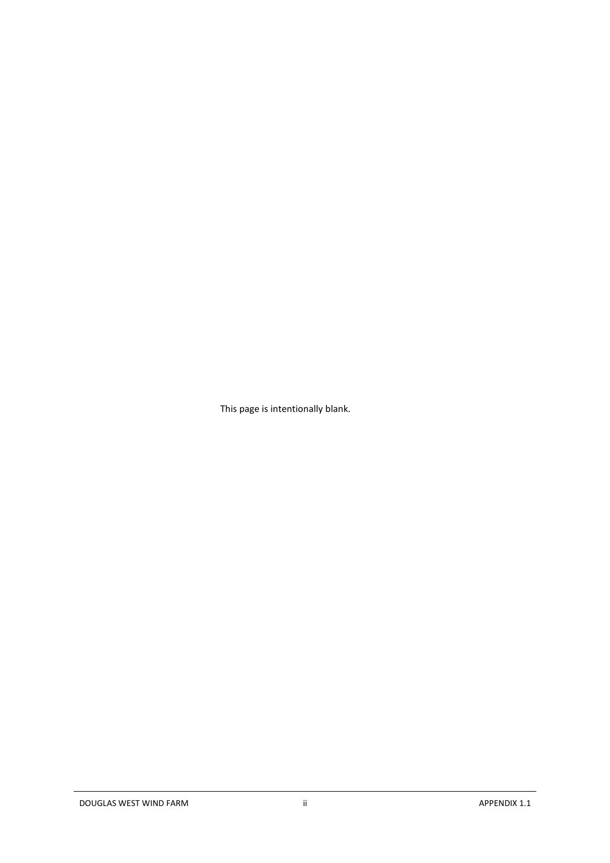This page is intentionally blank.

DOUGLAS WEST WIND FARM **ii** ii appendix 1.1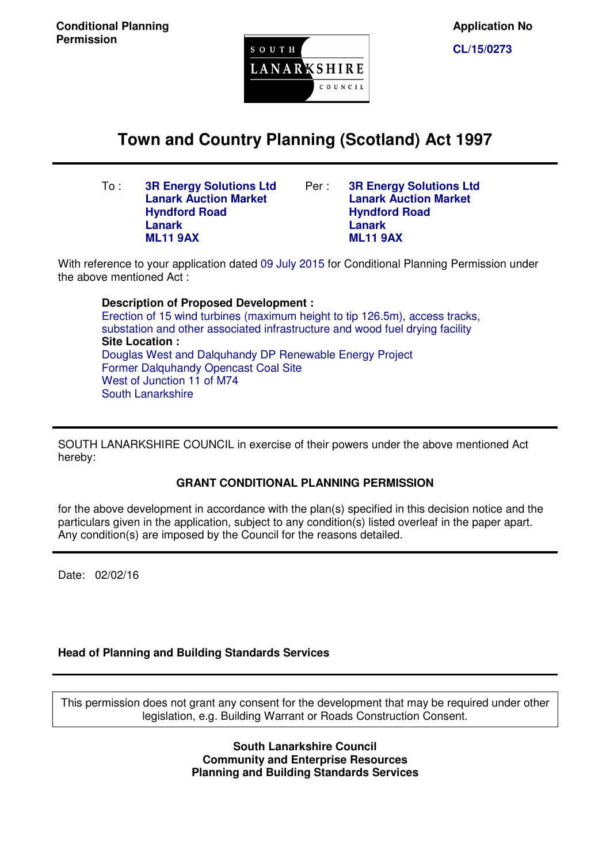

**CL/15/0273** 

# **Town and Country Planning (Scotland) Act 1997**

- To : **3R Energy Solutions Ltd** Per : **3R Energy Solutions Ltd Lanark Auction Market Hyndford Road Lanark ML11 9AX** 
	- **Lanark Auction Market Hyndford Road Lanark ML11 9AX**

With reference to your application dated 09 July 2015 for Conditional Planning Permission under the above mentioned Act :

**Description of Proposed Development :** Erection of 15 wind turbines (maximum height to tip 126.5m), access tracks, substation and other associated infrastructure and wood fuel drying facility **Site Location :** Douglas West and Dalquhandy DP Renewable Energy Project Former Dalquhandy Opencast Coal Site West of Junction 11 of M74 South Lanarkshire

SOUTH LANARKSHIRE COUNCIL in exercise of their powers under the above mentioned Act hereby:

# **GRANT CONDITIONAL PLANNING PERMISSION**

for the above development in accordance with the plan(s) specified in this decision notice and the particulars given in the application, subject to any condition(s) listed overleaf in the paper apart. Any condition(s) are imposed by the Council for the reasons detailed.

Date: 02/02/16

# **Head of Planning and Building Standards Services**

This permission does not grant any consent for the development that may be required under other legislation, e.g. Building Warrant or Roads Construction Consent.

> **South Lanarkshire Council Community and Enterprise Resources Planning and Building Standards Services**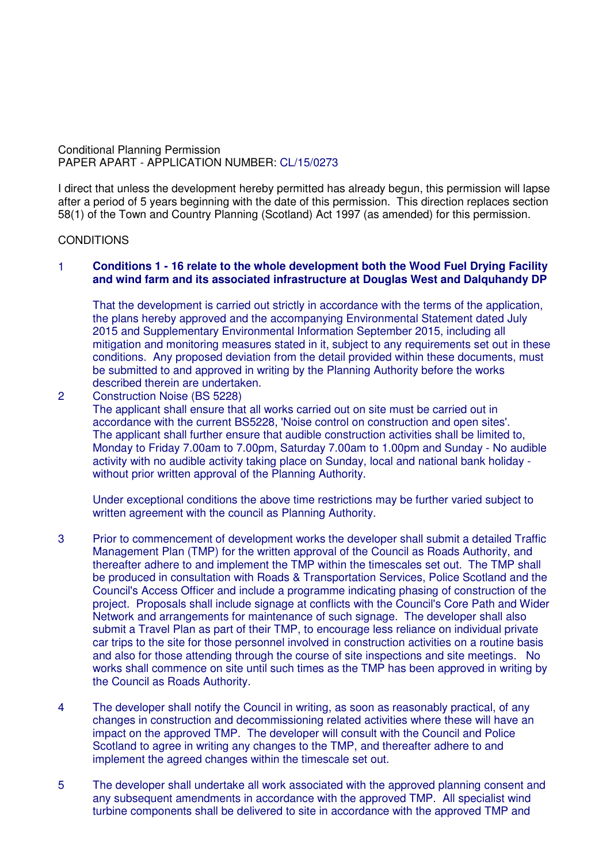Conditional Planning Permission PAPER APART - APPLICATION NUMBER: CL/15/0273

I direct that unless the development hereby permitted has already begun, this permission will lapse after a period of 5 years beginning with the date of this permission. This direction replaces section 58(1) of the Town and Country Planning (Scotland) Act 1997 (as amended) for this permission.

#### **CONDITIONS**

## 1 **Conditions 1 - 16 relate to the whole development both the Wood Fuel Drying Facility and wind farm and its associated infrastructure at Douglas West and Dalquhandy DP**

That the development is carried out strictly in accordance with the terms of the application, the plans hereby approved and the accompanying Environmental Statement dated July 2015 and Supplementary Environmental Information September 2015, including all mitigation and monitoring measures stated in it, subject to any requirements set out in these conditions. Any proposed deviation from the detail provided within these documents, must be submitted to and approved in writing by the Planning Authority before the works described therein are undertaken.

2 Construction Noise (BS 5228)

The applicant shall ensure that all works carried out on site must be carried out in accordance with the current BS5228, 'Noise control on construction and open sites'. The applicant shall further ensure that audible construction activities shall be limited to, Monday to Friday 7.00am to 7.00pm, Saturday 7.00am to 1.00pm and Sunday - No audible activity with no audible activity taking place on Sunday, local and national bank holiday without prior written approval of the Planning Authority.

Under exceptional conditions the above time restrictions may be further varied subject to written agreement with the council as Planning Authority.

- 3 Prior to commencement of development works the developer shall submit a detailed Traffic Management Plan (TMP) for the written approval of the Council as Roads Authority, and thereafter adhere to and implement the TMP within the timescales set out. The TMP shall be produced in consultation with Roads & Transportation Services, Police Scotland and the Council's Access Officer and include a programme indicating phasing of construction of the project. Proposals shall include signage at conflicts with the Council's Core Path and Wider Network and arrangements for maintenance of such signage. The developer shall also submit a Travel Plan as part of their TMP, to encourage less reliance on individual private car trips to the site for those personnel involved in construction activities on a routine basis and also for those attending through the course of site inspections and site meetings. No works shall commence on site until such times as the TMP has been approved in writing by the Council as Roads Authority.
- 4 The developer shall notify the Council in writing, as soon as reasonably practical, of any changes in construction and decommissioning related activities where these will have an impact on the approved TMP. The developer will consult with the Council and Police Scotland to agree in writing any changes to the TMP, and thereafter adhere to and implement the agreed changes within the timescale set out.
- 5 The developer shall undertake all work associated with the approved planning consent and any subsequent amendments in accordance with the approved TMP. All specialist wind turbine components shall be delivered to site in accordance with the approved TMP and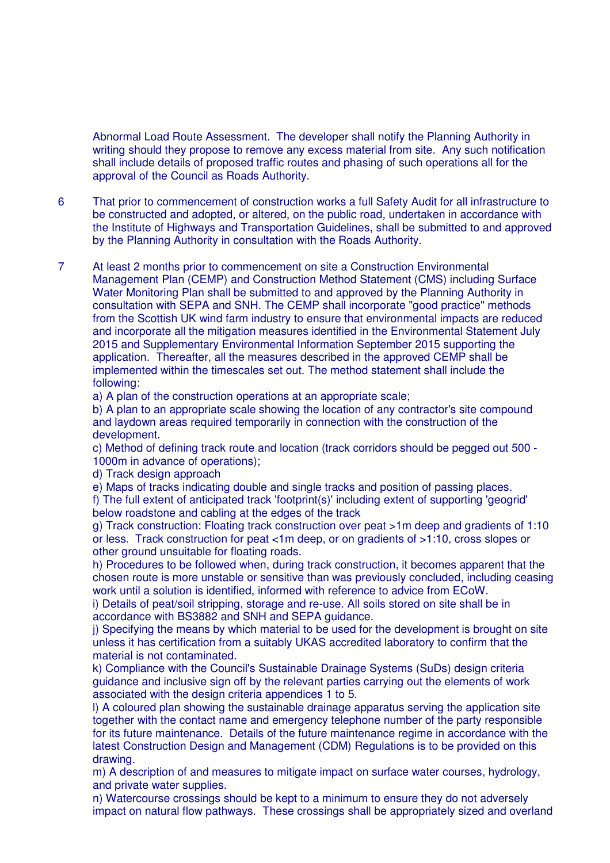Abnormal Load Route Assessment. The developer shall notify the Planning Authority in writing should they propose to remove any excess material from site. Any such notification shall include details of proposed traffic routes and phasing of such operations all for the approval of the Council as Roads Authority.

- 6 That prior to commencement of construction works a full Safety Audit for all infrastructure to be constructed and adopted, or altered, on the public road, undertaken in accordance with the Institute of Highways and Transportation Guidelines, shall be submitted to and approved by the Planning Authority in consultation with the Roads Authority.
- 7 At least 2 months prior to commencement on site a Construction Environmental Management Plan (CEMP) and Construction Method Statement (CMS) including Surface Water Monitoring Plan shall be submitted to and approved by the Planning Authority in consultation with SEPA and SNH. The CEMP shall incorporate "good practice" methods from the Scottish UK wind farm industry to ensure that environmental impacts are reduced and incorporate all the mitigation measures identified in the Environmental Statement July 2015 and Supplementary Environmental Information September 2015 supporting the application. Thereafter, all the measures described in the approved CEMP shall be implemented within the timescales set out. The method statement shall include the following:

a) A plan of the construction operations at an appropriate scale;

b) A plan to an appropriate scale showing the location of any contractor's site compound and laydown areas required temporarily in connection with the construction of the development.

c) Method of defining track route and location (track corridors should be pegged out 500 - 1000m in advance of operations);

d) Track design approach

e) Maps of tracks indicating double and single tracks and position of passing places.

f) The full extent of anticipated track 'footprint(s)' including extent of supporting 'geogrid' below roadstone and cabling at the edges of the track

g) Track construction: Floating track construction over peat >1m deep and gradients of 1:10 or less. Track construction for peat <1m deep, or on gradients of >1:10, cross slopes or other ground unsuitable for floating roads.

h) Procedures to be followed when, during track construction, it becomes apparent that the chosen route is more unstable or sensitive than was previously concluded, including ceasing work until a solution is identified, informed with reference to advice from ECoW.

i) Details of peat/soil stripping, storage and re-use. All soils stored on site shall be in accordance with BS3882 and SNH and SEPA guidance.

j) Specifying the means by which material to be used for the development is brought on site unless it has certification from a suitably UKAS accredited laboratory to confirm that the material is not contaminated.

k) Compliance with the Council's Sustainable Drainage Systems (SuDs) design criteria guidance and inclusive sign off by the relevant parties carrying out the elements of work associated with the design criteria appendices 1 to 5.

l) A coloured plan showing the sustainable drainage apparatus serving the application site together with the contact name and emergency telephone number of the party responsible for its future maintenance. Details of the future maintenance regime in accordance with the latest Construction Design and Management (CDM) Regulations is to be provided on this drawing.

m) A description of and measures to mitigate impact on surface water courses, hydrology, and private water supplies.

n) Watercourse crossings should be kept to a minimum to ensure they do not adversely impact on natural flow pathways. These crossings shall be appropriately sized and overland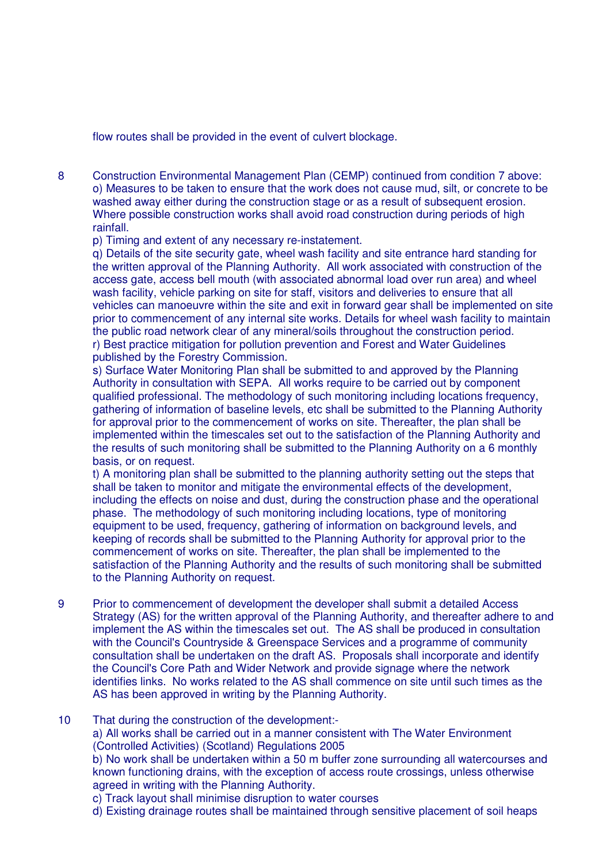flow routes shall be provided in the event of culvert blockage.

8 Construction Environmental Management Plan (CEMP) continued from condition 7 above: o) Measures to be taken to ensure that the work does not cause mud, silt, or concrete to be washed away either during the construction stage or as a result of subsequent erosion. Where possible construction works shall avoid road construction during periods of high rainfall.

p) Timing and extent of any necessary re-instatement.

q) Details of the site security gate, wheel wash facility and site entrance hard standing for the written approval of the Planning Authority. All work associated with construction of the access gate, access bell mouth (with associated abnormal load over run area) and wheel wash facility, vehicle parking on site for staff, visitors and deliveries to ensure that all vehicles can manoeuvre within the site and exit in forward gear shall be implemented on site prior to commencement of any internal site works. Details for wheel wash facility to maintain the public road network clear of any mineral/soils throughout the construction period. r) Best practice mitigation for pollution prevention and Forest and Water Guidelines published by the Forestry Commission.

s) Surface Water Monitoring Plan shall be submitted to and approved by the Planning Authority in consultation with SEPA. All works require to be carried out by component qualified professional. The methodology of such monitoring including locations frequency, gathering of information of baseline levels, etc shall be submitted to the Planning Authority for approval prior to the commencement of works on site. Thereafter, the plan shall be implemented within the timescales set out to the satisfaction of the Planning Authority and the results of such monitoring shall be submitted to the Planning Authority on a 6 monthly basis, or on request.

t) A monitoring plan shall be submitted to the planning authority setting out the steps that shall be taken to monitor and mitigate the environmental effects of the development, including the effects on noise and dust, during the construction phase and the operational phase. The methodology of such monitoring including locations, type of monitoring equipment to be used, frequency, gathering of information on background levels, and keeping of records shall be submitted to the Planning Authority for approval prior to the commencement of works on site. Thereafter, the plan shall be implemented to the satisfaction of the Planning Authority and the results of such monitoring shall be submitted to the Planning Authority on request.

- 9 Prior to commencement of development the developer shall submit a detailed Access Strategy (AS) for the written approval of the Planning Authority, and thereafter adhere to and implement the AS within the timescales set out. The AS shall be produced in consultation with the Council's Countryside & Greenspace Services and a programme of community consultation shall be undertaken on the draft AS. Proposals shall incorporate and identify the Council's Core Path and Wider Network and provide signage where the network identifies links. No works related to the AS shall commence on site until such times as the AS has been approved in writing by the Planning Authority.
- 10 That during the construction of the development: a) All works shall be carried out in a manner consistent with The Water Environment (Controlled Activities) (Scotland) Regulations 2005 b) No work shall be undertaken within a 50 m buffer zone surrounding all watercourses and known functioning drains, with the exception of access route crossings, unless otherwise agreed in writing with the Planning Authority.

c) Track layout shall minimise disruption to water courses

d) Existing drainage routes shall be maintained through sensitive placement of soil heaps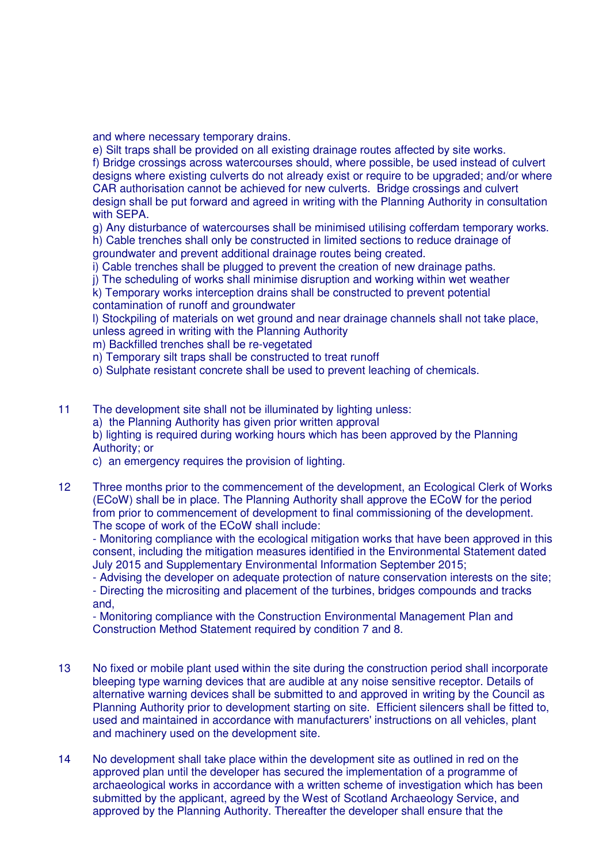and where necessary temporary drains.

e) Silt traps shall be provided on all existing drainage routes affected by site works. f) Bridge crossings across watercourses should, where possible, be used instead of culvert designs where existing culverts do not already exist or require to be upgraded; and/or where CAR authorisation cannot be achieved for new culverts. Bridge crossings and culvert design shall be put forward and agreed in writing with the Planning Authority in consultation with SEPA.

g) Any disturbance of watercourses shall be minimised utilising cofferdam temporary works. h) Cable trenches shall only be constructed in limited sections to reduce drainage of groundwater and prevent additional drainage routes being created.

i) Cable trenches shall be plugged to prevent the creation of new drainage paths.

j) The scheduling of works shall minimise disruption and working within wet weather

k) Temporary works interception drains shall be constructed to prevent potential contamination of runoff and groundwater

l) Stockpiling of materials on wet ground and near drainage channels shall not take place, unless agreed in writing with the Planning Authority

- m) Backfilled trenches shall be re-vegetated
- n) Temporary silt traps shall be constructed to treat runoff
- o) Sulphate resistant concrete shall be used to prevent leaching of chemicals.

# 11 The development site shall not be illuminated by lighting unless:

a) the Planning Authority has given prior written approval

b) lighting is required during working hours which has been approved by the Planning Authority; or

- c) an emergency requires the provision of lighting.
- 12 Three months prior to the commencement of the development, an Ecological Clerk of Works (ECoW) shall be in place. The Planning Authority shall approve the ECoW for the period from prior to commencement of development to final commissioning of the development. The scope of work of the ECoW shall include:

- Monitoring compliance with the ecological mitigation works that have been approved in this consent, including the mitigation measures identified in the Environmental Statement dated July 2015 and Supplementary Environmental Information September 2015;

- Advising the developer on adequate protection of nature conservation interests on the site; - Directing the micrositing and placement of the turbines, bridges compounds and tracks and,

- Monitoring compliance with the Construction Environmental Management Plan and Construction Method Statement required by condition 7 and 8.

- 13 No fixed or mobile plant used within the site during the construction period shall incorporate bleeping type warning devices that are audible at any noise sensitive receptor. Details of alternative warning devices shall be submitted to and approved in writing by the Council as Planning Authority prior to development starting on site. Efficient silencers shall be fitted to, used and maintained in accordance with manufacturers' instructions on all vehicles, plant and machinery used on the development site.
- 14 No development shall take place within the development site as outlined in red on the approved plan until the developer has secured the implementation of a programme of archaeological works in accordance with a written scheme of investigation which has been submitted by the applicant, agreed by the West of Scotland Archaeology Service, and approved by the Planning Authority. Thereafter the developer shall ensure that the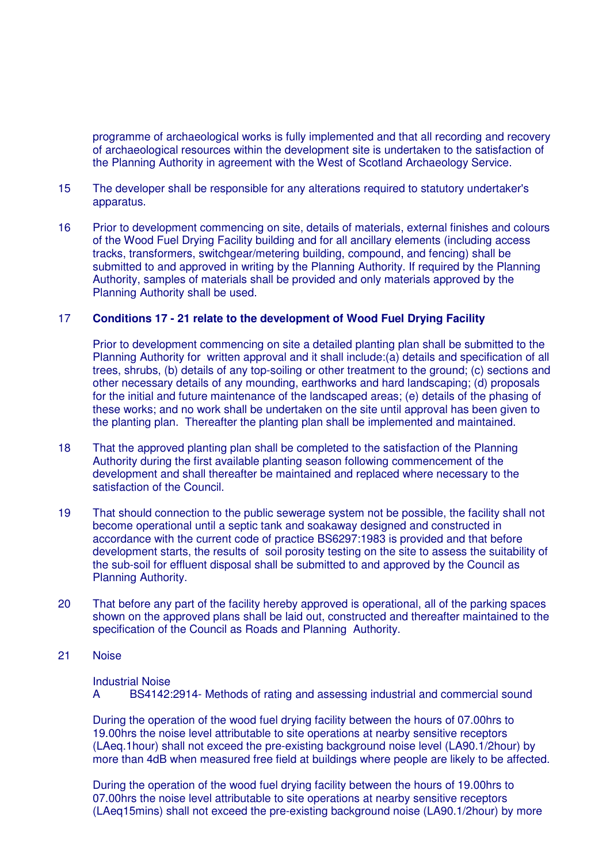programme of archaeological works is fully implemented and that all recording and recovery of archaeological resources within the development site is undertaken to the satisfaction of the Planning Authority in agreement with the West of Scotland Archaeology Service.

- 15 The developer shall be responsible for any alterations required to statutory undertaker's apparatus.
- 16 Prior to development commencing on site, details of materials, external finishes and colours of the Wood Fuel Drying Facility building and for all ancillary elements (including access tracks, transformers, switchgear/metering building, compound, and fencing) shall be submitted to and approved in writing by the Planning Authority. If required by the Planning Authority, samples of materials shall be provided and only materials approved by the Planning Authority shall be used.

#### 17 **Conditions 17 - 21 relate to the development of Wood Fuel Drying Facility**

Prior to development commencing on site a detailed planting plan shall be submitted to the Planning Authority for written approval and it shall include:(a) details and specification of all trees, shrubs, (b) details of any top-soiling or other treatment to the ground; (c) sections and other necessary details of any mounding, earthworks and hard landscaping; (d) proposals for the initial and future maintenance of the landscaped areas; (e) details of the phasing of these works; and no work shall be undertaken on the site until approval has been given to the planting plan. Thereafter the planting plan shall be implemented and maintained.

- 18 That the approved planting plan shall be completed to the satisfaction of the Planning Authority during the first available planting season following commencement of the development and shall thereafter be maintained and replaced where necessary to the satisfaction of the Council.
- 19 That should connection to the public sewerage system not be possible, the facility shall not become operational until a septic tank and soakaway designed and constructed in accordance with the current code of practice BS6297:1983 is provided and that before development starts, the results of soil porosity testing on the site to assess the suitability of the sub-soil for effluent disposal shall be submitted to and approved by the Council as Planning Authority.
- 20 That before any part of the facility hereby approved is operational, all of the parking spaces shown on the approved plans shall be laid out, constructed and thereafter maintained to the specification of the Council as Roads and Planning Authority.
- 21 Noise

#### Industrial Noise

A BS4142:2914- Methods of rating and assessing industrial and commercial sound

During the operation of the wood fuel drying facility between the hours of 07.00hrs to 19.00hrs the noise level attributable to site operations at nearby sensitive receptors (LAeq.1hour) shall not exceed the pre-existing background noise level (LA90.1/2hour) by more than 4dB when measured free field at buildings where people are likely to be affected.

During the operation of the wood fuel drying facility between the hours of 19.00hrs to 07.00hrs the noise level attributable to site operations at nearby sensitive receptors (LAeq15mins) shall not exceed the pre-existing background noise (LA90.1/2hour) by more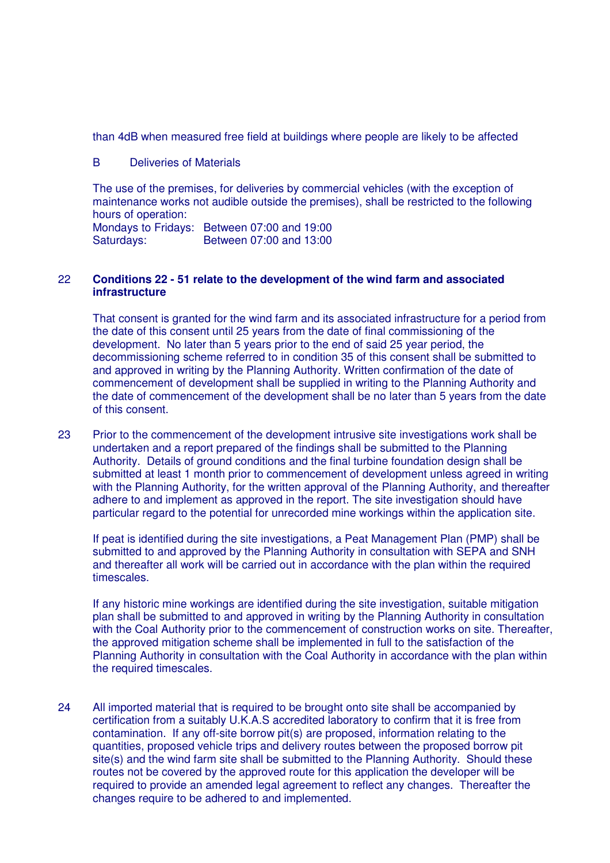than 4dB when measured free field at buildings where people are likely to be affected

# B Deliveries of Materials

The use of the premises, for deliveries by commercial vehicles (with the exception of maintenance works not audible outside the premises), shall be restricted to the following hours of operation:

Mondays to Fridays: Between 07:00 and 19:00 Saturdays: Between 07:00 and 13:00

## 22 **Conditions 22 - 51 relate to the development of the wind farm and associated infrastructure**

That consent is granted for the wind farm and its associated infrastructure for a period from the date of this consent until 25 years from the date of final commissioning of the development. No later than 5 years prior to the end of said 25 year period, the decommissioning scheme referred to in condition 35 of this consent shall be submitted to and approved in writing by the Planning Authority. Written confirmation of the date of commencement of development shall be supplied in writing to the Planning Authority and the date of commencement of the development shall be no later than 5 years from the date of this consent.

23 Prior to the commencement of the development intrusive site investigations work shall be undertaken and a report prepared of the findings shall be submitted to the Planning Authority. Details of ground conditions and the final turbine foundation design shall be submitted at least 1 month prior to commencement of development unless agreed in writing with the Planning Authority, for the written approval of the Planning Authority, and thereafter adhere to and implement as approved in the report. The site investigation should have particular regard to the potential for unrecorded mine workings within the application site.

If peat is identified during the site investigations, a Peat Management Plan (PMP) shall be submitted to and approved by the Planning Authority in consultation with SEPA and SNH and thereafter all work will be carried out in accordance with the plan within the required timescales.

If any historic mine workings are identified during the site investigation, suitable mitigation plan shall be submitted to and approved in writing by the Planning Authority in consultation with the Coal Authority prior to the commencement of construction works on site. Thereafter, the approved mitigation scheme shall be implemented in full to the satisfaction of the Planning Authority in consultation with the Coal Authority in accordance with the plan within the required timescales.

24 All imported material that is required to be brought onto site shall be accompanied by certification from a suitably U.K.A.S accredited laboratory to confirm that it is free from contamination. If any off-site borrow pit(s) are proposed, information relating to the quantities, proposed vehicle trips and delivery routes between the proposed borrow pit site(s) and the wind farm site shall be submitted to the Planning Authority. Should these routes not be covered by the approved route for this application the developer will be required to provide an amended legal agreement to reflect any changes. Thereafter the changes require to be adhered to and implemented.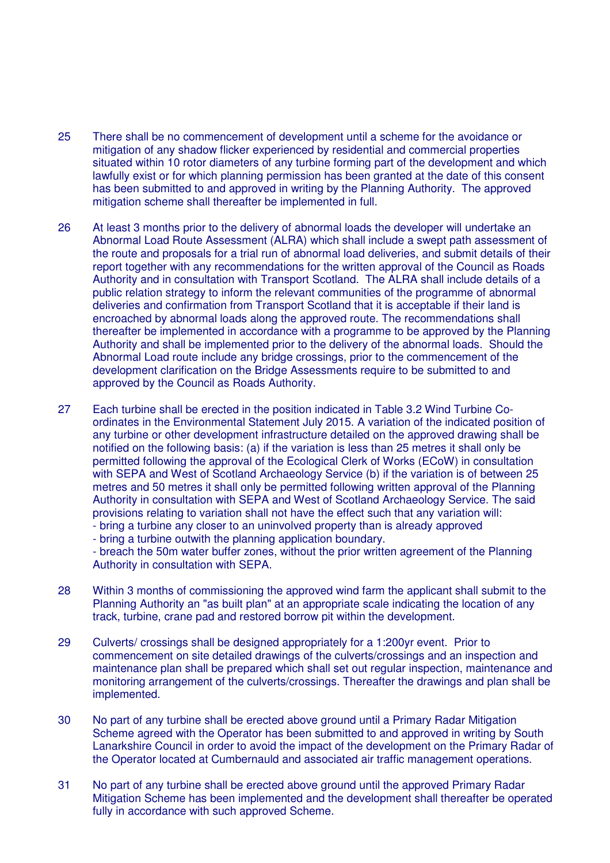- 25 There shall be no commencement of development until a scheme for the avoidance or mitigation of any shadow flicker experienced by residential and commercial properties situated within 10 rotor diameters of any turbine forming part of the development and which lawfully exist or for which planning permission has been granted at the date of this consent has been submitted to and approved in writing by the Planning Authority. The approved mitigation scheme shall thereafter be implemented in full.
- 26 At least 3 months prior to the delivery of abnormal loads the developer will undertake an Abnormal Load Route Assessment (ALRA) which shall include a swept path assessment of the route and proposals for a trial run of abnormal load deliveries, and submit details of their report together with any recommendations for the written approval of the Council as Roads Authority and in consultation with Transport Scotland. The ALRA shall include details of a public relation strategy to inform the relevant communities of the programme of abnormal deliveries and confirmation from Transport Scotland that it is acceptable if their land is encroached by abnormal loads along the approved route. The recommendations shall thereafter be implemented in accordance with a programme to be approved by the Planning Authority and shall be implemented prior to the delivery of the abnormal loads. Should the Abnormal Load route include any bridge crossings, prior to the commencement of the development clarification on the Bridge Assessments require to be submitted to and approved by the Council as Roads Authority.
- 27 Each turbine shall be erected in the position indicated in Table 3.2 Wind Turbine Coordinates in the Environmental Statement July 2015. A variation of the indicated position of any turbine or other development infrastructure detailed on the approved drawing shall be notified on the following basis: (a) if the variation is less than 25 metres it shall only be permitted following the approval of the Ecological Clerk of Works (ECoW) in consultation with SEPA and West of Scotland Archaeology Service (b) if the variation is of between 25 metres and 50 metres it shall only be permitted following written approval of the Planning Authority in consultation with SEPA and West of Scotland Archaeology Service. The said provisions relating to variation shall not have the effect such that any variation will: - bring a turbine any closer to an uninvolved property than is already approved
	- bring a turbine outwith the planning application boundary.

- breach the 50m water buffer zones, without the prior written agreement of the Planning Authority in consultation with SEPA.

- 28 Within 3 months of commissioning the approved wind farm the applicant shall submit to the Planning Authority an "as built plan" at an appropriate scale indicating the location of any track, turbine, crane pad and restored borrow pit within the development.
- 29 Culverts/ crossings shall be designed appropriately for a 1:200yr event. Prior to commencement on site detailed drawings of the culverts/crossings and an inspection and maintenance plan shall be prepared which shall set out regular inspection, maintenance and monitoring arrangement of the culverts/crossings. Thereafter the drawings and plan shall be implemented.
- 30 No part of any turbine shall be erected above ground until a Primary Radar Mitigation Scheme agreed with the Operator has been submitted to and approved in writing by South Lanarkshire Council in order to avoid the impact of the development on the Primary Radar of the Operator located at Cumbernauld and associated air traffic management operations.
- 31 No part of any turbine shall be erected above ground until the approved Primary Radar Mitigation Scheme has been implemented and the development shall thereafter be operated fully in accordance with such approved Scheme.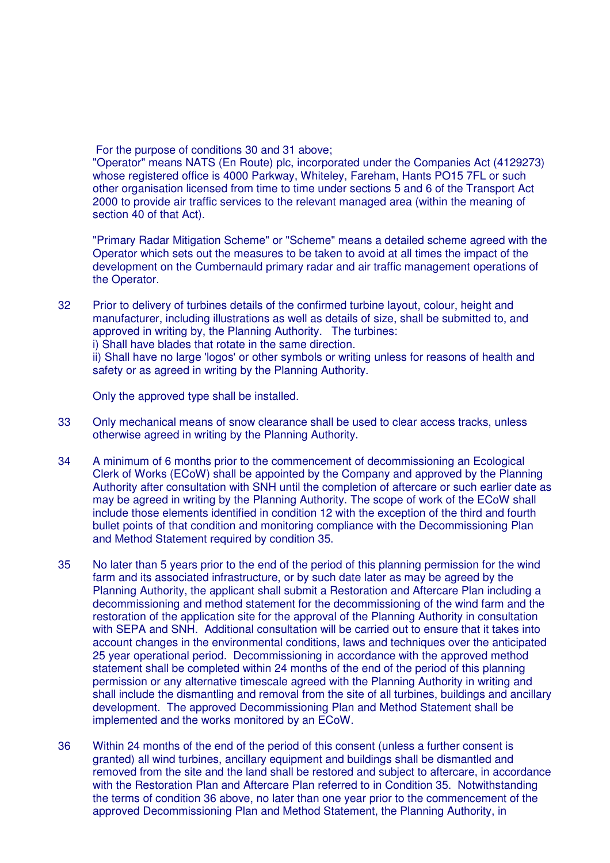For the purpose of conditions 30 and 31 above;

"Operator" means NATS (En Route) plc, incorporated under the Companies Act (4129273) whose registered office is 4000 Parkway, Whiteley, Fareham, Hants PO15 7FL or such other organisation licensed from time to time under sections 5 and 6 of the Transport Act 2000 to provide air traffic services to the relevant managed area (within the meaning of section 40 of that Act).

"Primary Radar Mitigation Scheme" or "Scheme" means a detailed scheme agreed with the Operator which sets out the measures to be taken to avoid at all times the impact of the development on the Cumbernauld primary radar and air traffic management operations of the Operator.

32 Prior to delivery of turbines details of the confirmed turbine layout, colour, height and manufacturer, including illustrations as well as details of size, shall be submitted to, and approved in writing by, the Planning Authority. The turbines: i) Shall have blades that rotate in the same direction. ii) Shall have no large 'logos' or other symbols or writing unless for reasons of health and safety or as agreed in writing by the Planning Authority.

Only the approved type shall be installed.

- 33 Only mechanical means of snow clearance shall be used to clear access tracks, unless otherwise agreed in writing by the Planning Authority.
- 34 A minimum of 6 months prior to the commencement of decommissioning an Ecological Clerk of Works (ECoW) shall be appointed by the Company and approved by the Planning Authority after consultation with SNH until the completion of aftercare or such earlier date as may be agreed in writing by the Planning Authority. The scope of work of the ECoW shall include those elements identified in condition 12 with the exception of the third and fourth bullet points of that condition and monitoring compliance with the Decommissioning Plan and Method Statement required by condition 35.
- 35 No later than 5 years prior to the end of the period of this planning permission for the wind farm and its associated infrastructure, or by such date later as may be agreed by the Planning Authority, the applicant shall submit a Restoration and Aftercare Plan including a decommissioning and method statement for the decommissioning of the wind farm and the restoration of the application site for the approval of the Planning Authority in consultation with SEPA and SNH. Additional consultation will be carried out to ensure that it takes into account changes in the environmental conditions, laws and techniques over the anticipated 25 year operational period. Decommissioning in accordance with the approved method statement shall be completed within 24 months of the end of the period of this planning permission or any alternative timescale agreed with the Planning Authority in writing and shall include the dismantling and removal from the site of all turbines, buildings and ancillary development. The approved Decommissioning Plan and Method Statement shall be implemented and the works monitored by an ECoW.
- 36 Within 24 months of the end of the period of this consent (unless a further consent is granted) all wind turbines, ancillary equipment and buildings shall be dismantled and removed from the site and the land shall be restored and subject to aftercare, in accordance with the Restoration Plan and Aftercare Plan referred to in Condition 35. Notwithstanding the terms of condition 36 above, no later than one year prior to the commencement of the approved Decommissioning Plan and Method Statement, the Planning Authority, in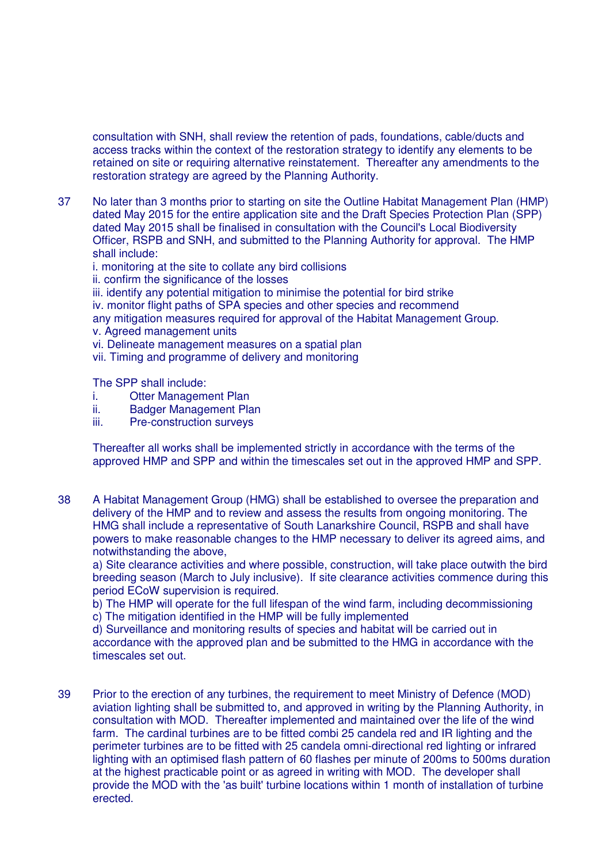consultation with SNH, shall review the retention of pads, foundations, cable/ducts and access tracks within the context of the restoration strategy to identify any elements to be retained on site or requiring alternative reinstatement. Thereafter any amendments to the restoration strategy are agreed by the Planning Authority.

- 37 No later than 3 months prior to starting on site the Outline Habitat Management Plan (HMP) dated May 2015 for the entire application site and the Draft Species Protection Plan (SPP) dated May 2015 shall be finalised in consultation with the Council's Local Biodiversity Officer, RSPB and SNH, and submitted to the Planning Authority for approval. The HMP shall include:
	- i. monitoring at the site to collate any bird collisions
	- ii. confirm the significance of the losses
	- iii. identify any potential mitigation to minimise the potential for bird strike
	- iv. monitor flight paths of SPA species and other species and recommend
	- any mitigation measures required for approval of the Habitat Management Group. v. Agreed management units
	-
	- vi. Delineate management measures on a spatial plan
	- vii. Timing and programme of delivery and monitoring

The SPP shall include:

- i. Otter Management Plan
- ii. Badger Management Plan
- iii. Pre-construction surveys

Thereafter all works shall be implemented strictly in accordance with the terms of the approved HMP and SPP and within the timescales set out in the approved HMP and SPP.

38 A Habitat Management Group (HMG) shall be established to oversee the preparation and delivery of the HMP and to review and assess the results from ongoing monitoring. The HMG shall include a representative of South Lanarkshire Council, RSPB and shall have powers to make reasonable changes to the HMP necessary to deliver its agreed aims, and notwithstanding the above,

a) Site clearance activities and where possible, construction, will take place outwith the bird breeding season (March to July inclusive). If site clearance activities commence during this period ECoW supervision is required.

b) The HMP will operate for the full lifespan of the wind farm, including decommissioning c) The mitigation identified in the HMP will be fully implemented

d) Surveillance and monitoring results of species and habitat will be carried out in accordance with the approved plan and be submitted to the HMG in accordance with the timescales set out.

39 Prior to the erection of any turbines, the requirement to meet Ministry of Defence (MOD) aviation lighting shall be submitted to, and approved in writing by the Planning Authority, in consultation with MOD. Thereafter implemented and maintained over the life of the wind farm. The cardinal turbines are to be fitted combi 25 candela red and IR lighting and the perimeter turbines are to be fitted with 25 candela omni-directional red lighting or infrared lighting with an optimised flash pattern of 60 flashes per minute of 200ms to 500ms duration at the highest practicable point or as agreed in writing with MOD. The developer shall provide the MOD with the 'as built' turbine locations within 1 month of installation of turbine erected.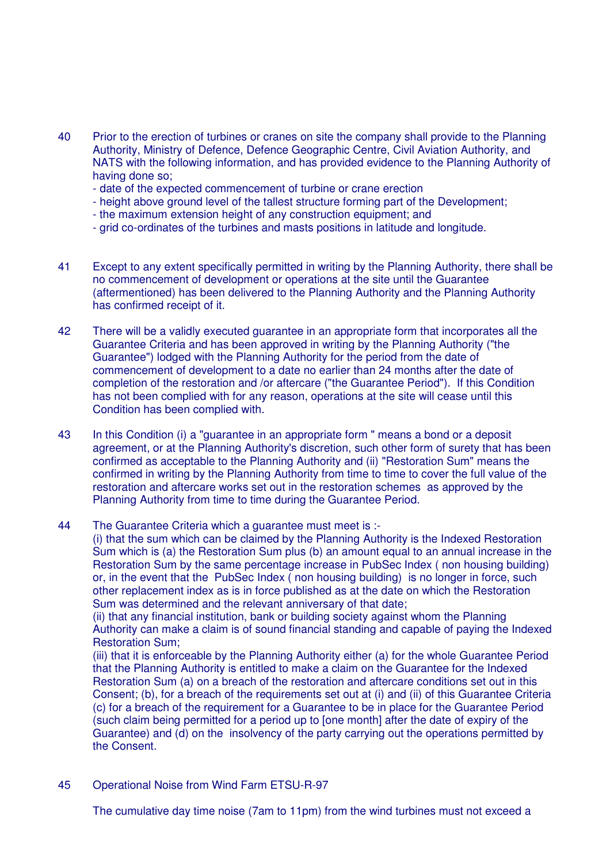- 40 Prior to the erection of turbines or cranes on site the company shall provide to the Planning Authority, Ministry of Defence, Defence Geographic Centre, Civil Aviation Authority, and NATS with the following information, and has provided evidence to the Planning Authority of having done so;
	- date of the expected commencement of turbine or crane erection
	- height above ground level of the tallest structure forming part of the Development;
	- the maximum extension height of any construction equipment; and
	- grid co-ordinates of the turbines and masts positions in latitude and longitude.
- 41 Except to any extent specifically permitted in writing by the Planning Authority, there shall be no commencement of development or operations at the site until the Guarantee (aftermentioned) has been delivered to the Planning Authority and the Planning Authority has confirmed receipt of it.
- 42 There will be a validly executed guarantee in an appropriate form that incorporates all the Guarantee Criteria and has been approved in writing by the Planning Authority ("the Guarantee") lodged with the Planning Authority for the period from the date of commencement of development to a date no earlier than 24 months after the date of completion of the restoration and /or aftercare ("the Guarantee Period"). If this Condition has not been complied with for any reason, operations at the site will cease until this Condition has been complied with.
- 43 In this Condition (i) a "guarantee in an appropriate form " means a bond or a deposit agreement, or at the Planning Authority's discretion, such other form of surety that has been confirmed as acceptable to the Planning Authority and (ii) "Restoration Sum" means the confirmed in writing by the Planning Authority from time to time to cover the full value of the restoration and aftercare works set out in the restoration schemes as approved by the Planning Authority from time to time during the Guarantee Period.

#### 44 The Guarantee Criteria which a guarantee must meet is :-

(i) that the sum which can be claimed by the Planning Authority is the Indexed Restoration Sum which is (a) the Restoration Sum plus (b) an amount equal to an annual increase in the Restoration Sum by the same percentage increase in PubSec Index ( non housing building) or, in the event that the PubSec Index ( non housing building) is no longer in force, such other replacement index as is in force published as at the date on which the Restoration Sum was determined and the relevant anniversary of that date;

(ii) that any financial institution, bank or building society against whom the Planning Authority can make a claim is of sound financial standing and capable of paying the Indexed Restoration Sum;

(iii) that it is enforceable by the Planning Authority either (a) for the whole Guarantee Period that the Planning Authority is entitled to make a claim on the Guarantee for the Indexed Restoration Sum (a) on a breach of the restoration and aftercare conditions set out in this Consent; (b), for a breach of the requirements set out at (i) and (ii) of this Guarantee Criteria (c) for a breach of the requirement for a Guarantee to be in place for the Guarantee Period (such claim being permitted for a period up to [one month] after the date of expiry of the Guarantee) and (d) on the insolvency of the party carrying out the operations permitted by the Consent.

45 Operational Noise from Wind Farm ETSU-R-97

The cumulative day time noise (7am to 11pm) from the wind turbines must not exceed a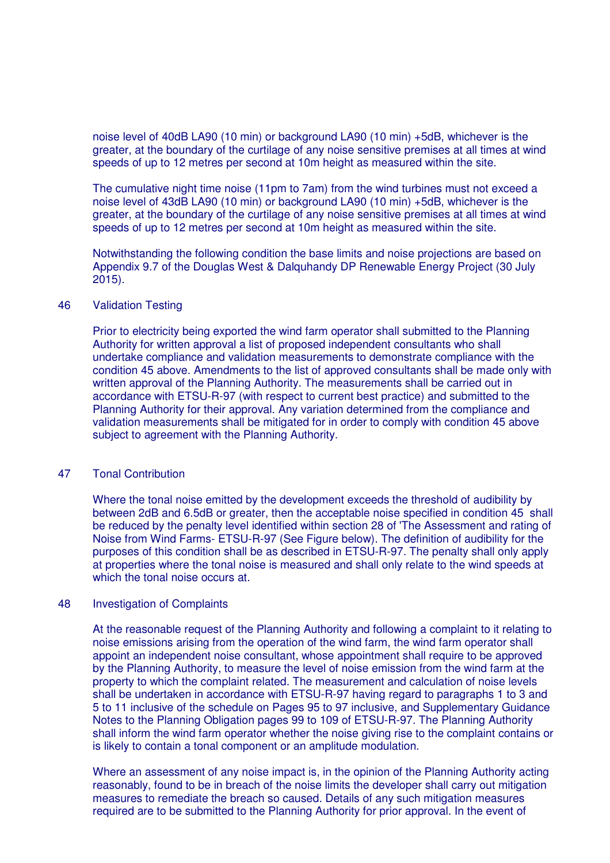noise level of 40dB LA90 (10 min) or background LA90 (10 min) +5dB, whichever is the greater, at the boundary of the curtilage of any noise sensitive premises at all times at wind speeds of up to 12 metres per second at 10m height as measured within the site.

The cumulative night time noise (11pm to 7am) from the wind turbines must not exceed a noise level of 43dB LA90 (10 min) or background LA90 (10 min) +5dB, whichever is the greater, at the boundary of the curtilage of any noise sensitive premises at all times at wind speeds of up to 12 metres per second at 10m height as measured within the site.

Notwithstanding the following condition the base limits and noise projections are based on Appendix 9.7 of the Douglas West & Dalquhandy DP Renewable Energy Project (30 July 2015).

#### 46 Validation Testing

Prior to electricity being exported the wind farm operator shall submitted to the Planning Authority for written approval a list of proposed independent consultants who shall undertake compliance and validation measurements to demonstrate compliance with the condition 45 above. Amendments to the list of approved consultants shall be made only with written approval of the Planning Authority. The measurements shall be carried out in accordance with ETSU-R-97 (with respect to current best practice) and submitted to the Planning Authority for their approval. Any variation determined from the compliance and validation measurements shall be mitigated for in order to comply with condition 45 above subject to agreement with the Planning Authority.

#### 47 Tonal Contribution

Where the tonal noise emitted by the development exceeds the threshold of audibility by between 2dB and 6.5dB or greater, then the acceptable noise specified in condition 45 shall be reduced by the penalty level identified within section 28 of 'The Assessment and rating of Noise from Wind Farms- ETSU-R-97 (See Figure below). The definition of audibility for the purposes of this condition shall be as described in ETSU-R-97. The penalty shall only apply at properties where the tonal noise is measured and shall only relate to the wind speeds at which the tonal noise occurs at.

#### 48 Investigation of Complaints

At the reasonable request of the Planning Authority and following a complaint to it relating to noise emissions arising from the operation of the wind farm, the wind farm operator shall appoint an independent noise consultant, whose appointment shall require to be approved by the Planning Authority, to measure the level of noise emission from the wind farm at the property to which the complaint related. The measurement and calculation of noise levels shall be undertaken in accordance with ETSU-R-97 having regard to paragraphs 1 to 3 and 5 to 11 inclusive of the schedule on Pages 95 to 97 inclusive, and Supplementary Guidance Notes to the Planning Obligation pages 99 to 109 of ETSU-R-97. The Planning Authority shall inform the wind farm operator whether the noise giving rise to the complaint contains or is likely to contain a tonal component or an amplitude modulation.

Where an assessment of any noise impact is, in the opinion of the Planning Authority acting reasonably, found to be in breach of the noise limits the developer shall carry out mitigation measures to remediate the breach so caused. Details of any such mitigation measures required are to be submitted to the Planning Authority for prior approval. In the event of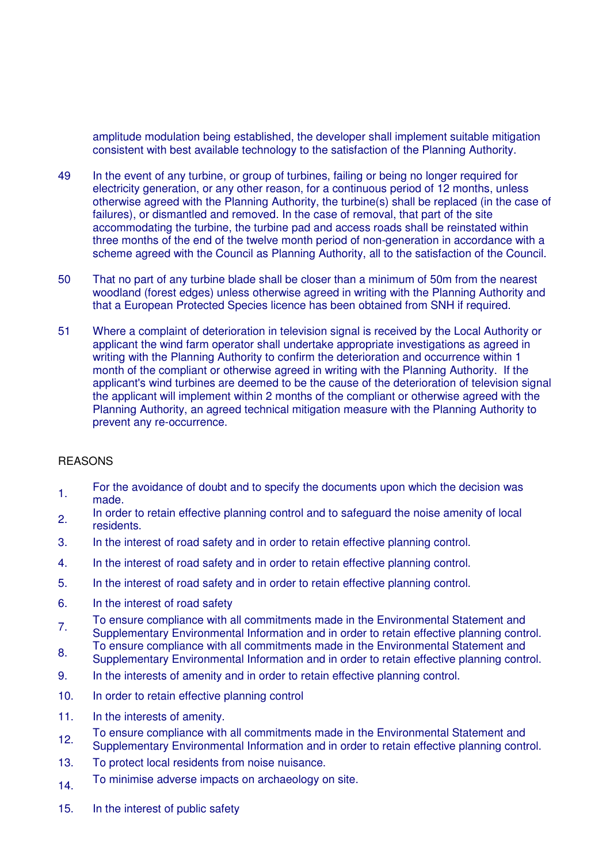amplitude modulation being established, the developer shall implement suitable mitigation consistent with best available technology to the satisfaction of the Planning Authority.

- 49 In the event of any turbine, or group of turbines, failing or being no longer required for electricity generation, or any other reason, for a continuous period of 12 months, unless otherwise agreed with the Planning Authority, the turbine(s) shall be replaced (in the case of failures), or dismantled and removed. In the case of removal, that part of the site accommodating the turbine, the turbine pad and access roads shall be reinstated within three months of the end of the twelve month period of non-generation in accordance with a scheme agreed with the Council as Planning Authority, all to the satisfaction of the Council.
- 50 That no part of any turbine blade shall be closer than a minimum of 50m from the nearest woodland (forest edges) unless otherwise agreed in writing with the Planning Authority and that a European Protected Species licence has been obtained from SNH if required.
- 51 Where a complaint of deterioration in television signal is received by the Local Authority or applicant the wind farm operator shall undertake appropriate investigations as agreed in writing with the Planning Authority to confirm the deterioration and occurrence within 1 month of the compliant or otherwise agreed in writing with the Planning Authority. If the applicant's wind turbines are deemed to be the cause of the deterioration of television signal the applicant will implement within 2 months of the compliant or otherwise agreed with the Planning Authority, an agreed technical mitigation measure with the Planning Authority to prevent any re-occurrence.

# **REASONS**

- 1. For the avoidance of doubt and to specify the documents upon which the decision was made.
- 2. In order to retain effective planning control and to safeguard the noise amenity of local residents.
- 3. In the interest of road safety and in order to retain effective planning control.
- 4. In the interest of road safety and in order to retain effective planning control.
- 5. In the interest of road safety and in order to retain effective planning control.
- 6. In the interest of road safety
- 7. To ensure compliance with all commitments made in the Environmental Statement and Supplementary Environmental Information and in order to retain effective planning control.
- 8. To ensure compliance with all commitments made in the Environmental Statement and Supplementary Environmental Information and in order to retain effective planning control.
- 9. In the interests of amenity and in order to retain effective planning control.
- 10. In order to retain effective planning control
- 11. In the interests of amenity.
- 12<sup>12</sup> To ensure compliance with all commitments made in the Environmental Statement and Supplementary Environmental Information and in order to retain effective planning control.
- 13. To protect local residents from noise nuisance.
- 14. To minimise adverse impacts on archaeology on site.
- 15. In the interest of public safety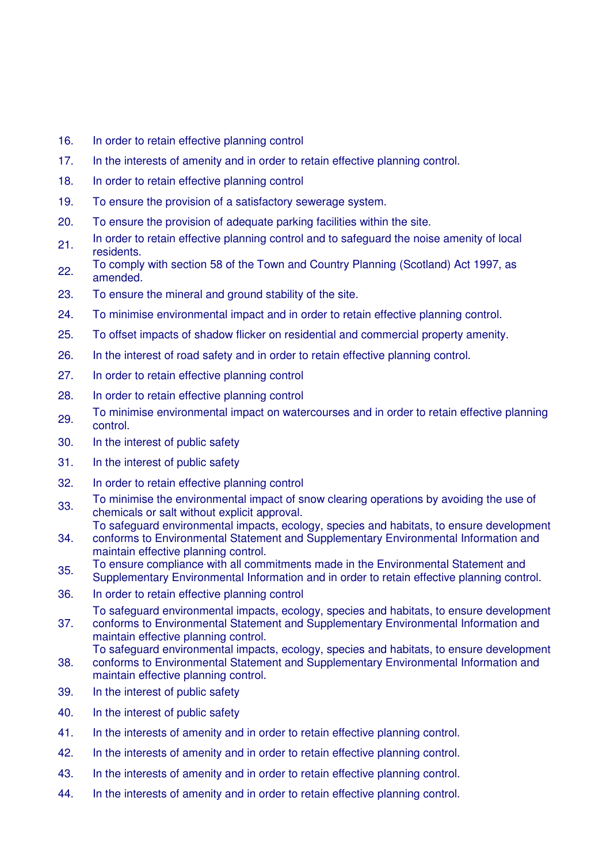- 16. In order to retain effective planning control
- 17. In the interests of amenity and in order to retain effective planning control.
- 18. In order to retain effective planning control
- 19. To ensure the provision of a satisfactory sewerage system.
- 20. To ensure the provision of adequate parking facilities within the site.
- 21. In order to retain effective planning control and to safeguard the noise amenity of local residents.
- 22. To comply with section 58 of the Town and Country Planning (Scotland) Act 1997, as amended.
- 23. To ensure the mineral and ground stability of the site.
- 24. To minimise environmental impact and in order to retain effective planning control.
- 25. To offset impacts of shadow flicker on residential and commercial property amenity.
- 26. In the interest of road safety and in order to retain effective planning control.
- 27. In order to retain effective planning control
- 28. In order to retain effective planning control
- 29. To minimise environmental impact on watercourses and in order to retain effective planning control.
- 30. In the interest of public safety
- 31. In the interest of public safety
- 32. In order to retain effective planning control
- 33. To minimise the environmental impact of snow clearing operations by avoiding the use of chemicals or salt without explicit approval.
- 34. To safeguard environmental impacts, ecology, species and habitats, to ensure development conforms to Environmental Statement and Supplementary Environmental Information and
- maintain effective planning control. 35. To ensure compliance with all commitments made in the Environmental Statement and Supplementary Environmental Information and in order to retain effective planning control.
- 36. In order to retain effective planning control
	- To safeguard environmental impacts, ecology, species and habitats, to ensure development conforms to Environmental Statement and Supplementary Environmental Information and
- 37. maintain effective planning control. To safeguard environmental impacts, ecology, species and habitats, to ensure development
- 38. conforms to Environmental Statement and Supplementary Environmental Information and maintain effective planning control.
- 39. In the interest of public safety
- 40. In the interest of public safety
- 41. In the interests of amenity and in order to retain effective planning control.
- 42. In the interests of amenity and in order to retain effective planning control.
- 43. In the interests of amenity and in order to retain effective planning control.
- 44. In the interests of amenity and in order to retain effective planning control.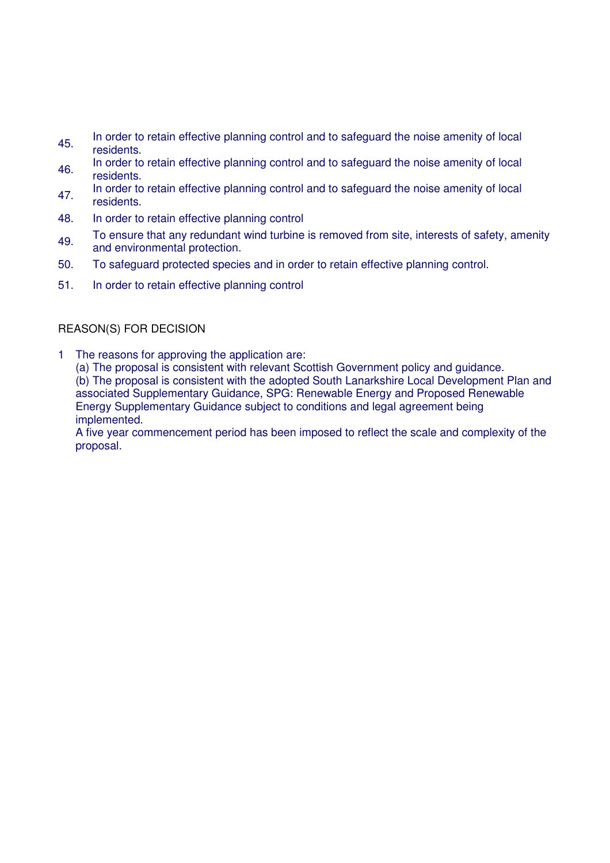- 45. In order to retain effective planning control and to safeguard the noise amenity of local residents.
- 46. In order to retain effective planning control and to safeguard the noise amenity of local residents.
- 47. In order to retain effective planning control and to safeguard the noise amenity of local residents.
- 48. In order to retain effective planning control
- 49. To ensure that any redundant wind turbine is removed from site, interests of safety, amenity and environmental protection.
- 50. To safeguard protected species and in order to retain effective planning control.
- 51. In order to retain effective planning control

## REASON(S) FOR DECISION

1 The reasons for approving the application are:

(a) The proposal is consistent with relevant Scottish Government policy and guidance. (b) The proposal is consistent with the adopted South Lanarkshire Local Development Plan and associated Supplementary Guidance, SPG: Renewable Energy and Proposed Renewable Energy Supplementary Guidance subject to conditions and legal agreement being implemented.

A five year commencement period has been imposed to reflect the scale and complexity of the proposal.